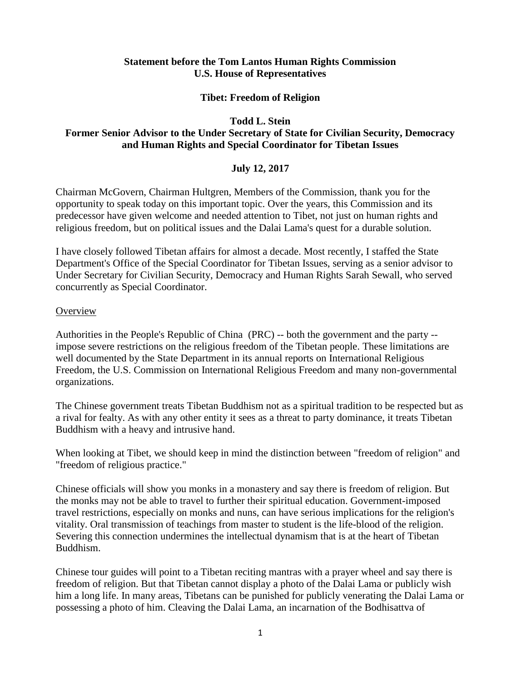## **Statement before the Tom Lantos Human Rights Commission U.S. House of Representatives**

## **Tibet: Freedom of Religion**

#### **Todd L. Stein**

## **Former Senior Advisor to the Under Secretary of State for Civilian Security, Democracy and Human Rights and Special Coordinator for Tibetan Issues**

## **July 12, 2017**

Chairman McGovern, Chairman Hultgren, Members of the Commission, thank you for the opportunity to speak today on this important topic. Over the years, this Commission and its predecessor have given welcome and needed attention to Tibet, not just on human rights and religious freedom, but on political issues and the Dalai Lama's quest for a durable solution.

I have closely followed Tibetan affairs for almost a decade. Most recently, I staffed the State Department's Office of the Special Coordinator for Tibetan Issues, serving as a senior advisor to Under Secretary for Civilian Security, Democracy and Human Rights Sarah Sewall, who served concurrently as Special Coordinator.

#### **Overview**

Authorities in the People's Republic of China (PRC) -- both the government and the party - impose severe restrictions on the religious freedom of the Tibetan people. These limitations are well documented by the State Department in its annual reports on International Religious Freedom, the U.S. Commission on International Religious Freedom and many non-governmental organizations.

The Chinese government treats Tibetan Buddhism not as a spiritual tradition to be respected but as a rival for fealty. As with any other entity it sees as a threat to party dominance, it treats Tibetan Buddhism with a heavy and intrusive hand.

When looking at Tibet, we should keep in mind the distinction between "freedom of religion" and "freedom of religious practice."

Chinese officials will show you monks in a monastery and say there is freedom of religion. But the monks may not be able to travel to further their spiritual education. Government-imposed travel restrictions, especially on monks and nuns, can have serious implications for the religion's vitality. Oral transmission of teachings from master to student is the life-blood of the religion. Severing this connection undermines the intellectual dynamism that is at the heart of Tibetan Buddhism.

Chinese tour guides will point to a Tibetan reciting mantras with a prayer wheel and say there is freedom of religion. But that Tibetan cannot display a photo of the Dalai Lama or publicly wish him a long life. In many areas, Tibetans can be punished for publicly venerating the Dalai Lama or possessing a photo of him. Cleaving the Dalai Lama, an incarnation of the Bodhisattva of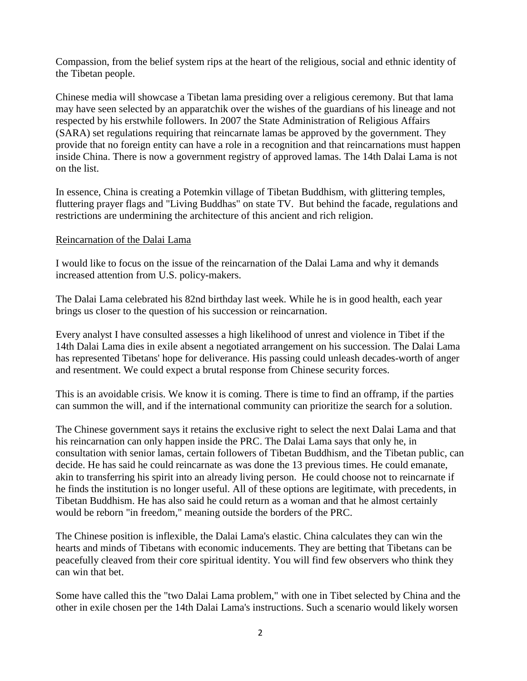Compassion, from the belief system rips at the heart of the religious, social and ethnic identity of the Tibetan people.

Chinese media will showcase a Tibetan lama presiding over a religious ceremony. But that lama may have seen selected by an apparatchik over the wishes of the guardians of his lineage and not respected by his erstwhile followers. In 2007 the State Administration of Religious Affairs (SARA) set regulations requiring that reincarnate lamas be approved by the government. They provide that no foreign entity can have a role in a recognition and that reincarnations must happen inside China. There is now a government registry of approved lamas. The 14th Dalai Lama is not on the list.

In essence, China is creating a Potemkin village of Tibetan Buddhism, with glittering temples, fluttering prayer flags and "Living Buddhas" on state TV. But behind the facade, regulations and restrictions are undermining the architecture of this ancient and rich religion.

# Reincarnation of the Dalai Lama

I would like to focus on the issue of the reincarnation of the Dalai Lama and why it demands increased attention from U.S. policy-makers.

The Dalai Lama celebrated his 82nd birthday last week. While he is in good health, each year brings us closer to the question of his succession or reincarnation.

Every analyst I have consulted assesses a high likelihood of unrest and violence in Tibet if the 14th Dalai Lama dies in exile absent a negotiated arrangement on his succession. The Dalai Lama has represented Tibetans' hope for deliverance. His passing could unleash decades-worth of anger and resentment. We could expect a brutal response from Chinese security forces.

This is an avoidable crisis. We know it is coming. There is time to find an offramp, if the parties can summon the will, and if the international community can prioritize the search for a solution.

The Chinese government says it retains the exclusive right to select the next Dalai Lama and that his reincarnation can only happen inside the PRC. The Dalai Lama says that only he, in consultation with senior lamas, certain followers of Tibetan Buddhism, and the Tibetan public, can decide. He has said he could reincarnate as was done the 13 previous times. He could emanate, akin to transferring his spirit into an already living person. He could choose not to reincarnate if he finds the institution is no longer useful. All of these options are legitimate, with precedents, in Tibetan Buddhism. He has also said he could return as a woman and that he almost certainly would be reborn "in freedom," meaning outside the borders of the PRC.

The Chinese position is inflexible, the Dalai Lama's elastic. China calculates they can win the hearts and minds of Tibetans with economic inducements. They are betting that Tibetans can be peacefully cleaved from their core spiritual identity. You will find few observers who think they can win that bet.

Some have called this the "two Dalai Lama problem," with one in Tibet selected by China and the other in exile chosen per the 14th Dalai Lama's instructions. Such a scenario would likely worsen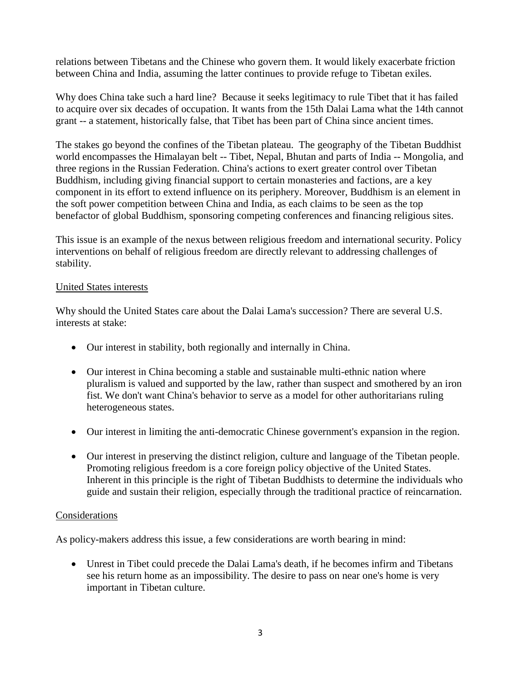relations between Tibetans and the Chinese who govern them. It would likely exacerbate friction between China and India, assuming the latter continues to provide refuge to Tibetan exiles.

Why does China take such a hard line? Because it seeks legitimacy to rule Tibet that it has failed to acquire over six decades of occupation. It wants from the 15th Dalai Lama what the 14th cannot grant -- a statement, historically false, that Tibet has been part of China since ancient times.

The stakes go beyond the confines of the Tibetan plateau. The geography of the Tibetan Buddhist world encompasses the Himalayan belt -- Tibet, Nepal, Bhutan and parts of India -- Mongolia, and three regions in the Russian Federation. China's actions to exert greater control over Tibetan Buddhism, including giving financial support to certain monasteries and factions, are a key component in its effort to extend influence on its periphery. Moreover, Buddhism is an element in the soft power competition between China and India, as each claims to be seen as the top benefactor of global Buddhism, sponsoring competing conferences and financing religious sites.

This issue is an example of the nexus between religious freedom and international security. Policy interventions on behalf of religious freedom are directly relevant to addressing challenges of stability.

## United States interests

Why should the United States care about the Dalai Lama's succession? There are several U.S. interests at stake:

- Our interest in stability, both regionally and internally in China.
- Our interest in China becoming a stable and sustainable multi-ethnic nation where pluralism is valued and supported by the law, rather than suspect and smothered by an iron fist. We don't want China's behavior to serve as a model for other authoritarians ruling heterogeneous states.
- Our interest in limiting the anti-democratic Chinese government's expansion in the region.
- Our interest in preserving the distinct religion, culture and language of the Tibetan people. Promoting religious freedom is a core foreign policy objective of the United States. Inherent in this principle is the right of Tibetan Buddhists to determine the individuals who guide and sustain their religion, especially through the traditional practice of reincarnation.

# **Considerations**

As policy-makers address this issue, a few considerations are worth bearing in mind:

 Unrest in Tibet could precede the Dalai Lama's death, if he becomes infirm and Tibetans see his return home as an impossibility. The desire to pass on near one's home is very important in Tibetan culture.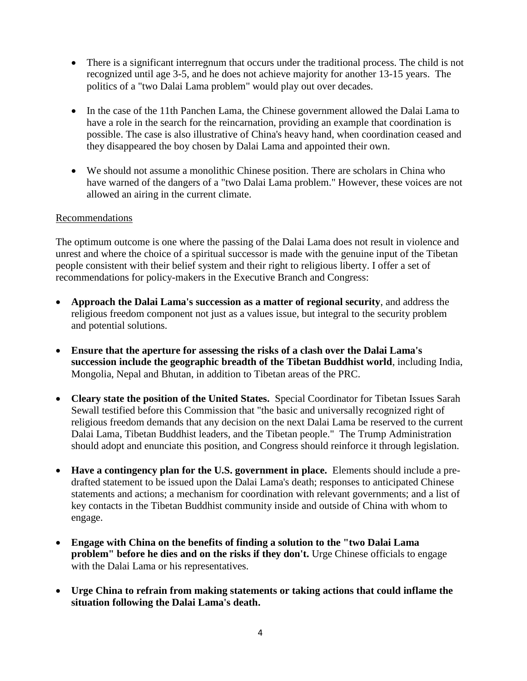- There is a significant interregnum that occurs under the traditional process. The child is not recognized until age 3-5, and he does not achieve majority for another 13-15 years. The politics of a "two Dalai Lama problem" would play out over decades.
- In the case of the 11th Panchen Lama, the Chinese government allowed the Dalai Lama to have a role in the search for the reincarnation, providing an example that coordination is possible. The case is also illustrative of China's heavy hand, when coordination ceased and they disappeared the boy chosen by Dalai Lama and appointed their own.
- We should not assume a monolithic Chinese position. There are scholars in China who have warned of the dangers of a "two Dalai Lama problem." However, these voices are not allowed an airing in the current climate.

# Recommendations

The optimum outcome is one where the passing of the Dalai Lama does not result in violence and unrest and where the choice of a spiritual successor is made with the genuine input of the Tibetan people consistent with their belief system and their right to religious liberty. I offer a set of recommendations for policy-makers in the Executive Branch and Congress:

- **Approach the Dalai Lama's succession as a matter of regional security**, and address the religious freedom component not just as a values issue, but integral to the security problem and potential solutions.
- **Ensure that the aperture for assessing the risks of a clash over the Dalai Lama's succession include the geographic breadth of the Tibetan Buddhist world**, including India, Mongolia, Nepal and Bhutan, in addition to Tibetan areas of the PRC.
- **Cleary state the position of the United States.** Special Coordinator for Tibetan Issues Sarah Sewall testified before this Commission that "the basic and universally recognized right of religious freedom demands that any decision on the next Dalai Lama be reserved to the current Dalai Lama, Tibetan Buddhist leaders, and the Tibetan people." The Trump Administration should adopt and enunciate this position, and Congress should reinforce it through legislation.
- **Have a contingency plan for the U.S. government in place.** Elements should include a predrafted statement to be issued upon the Dalai Lama's death; responses to anticipated Chinese statements and actions; a mechanism for coordination with relevant governments; and a list of key contacts in the Tibetan Buddhist community inside and outside of China with whom to engage.
- **Engage with China on the benefits of finding a solution to the "two Dalai Lama problem" before he dies and on the risks if they don't.** Urge Chinese officials to engage with the Dalai Lama or his representatives.
- **Urge China to refrain from making statements or taking actions that could inflame the situation following the Dalai Lama's death.**